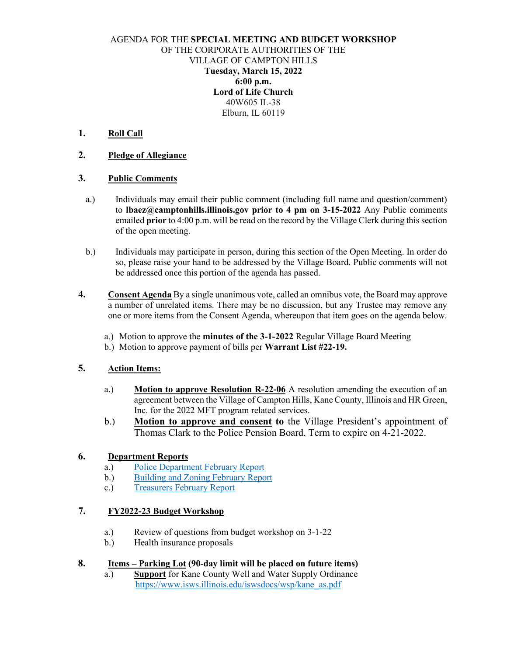### AGENDA FOR THE **SPECIAL MEETING AND BUDGET WORKSHOP** OF THE CORPORATE AUTHORITIES OF THE VILLAGE OF CAMPTON HILLS **Tuesday, March 15, 2022 6:00 p.m. Lord of Life Church**  40W605 IL-38 Elburn, IL 60119

## **1. Roll Call**

### **2. Pledge of Allegiance**

### **3. Public Comments**

- a.) Individuals may email their public comment (including full name and question/comment) to **lbaez@camptonhills.illinois.gov prior to 4 pm on 3-15-2022** Any Public comments emailed **prior** to 4:00 p.m. will be read on the record by the Village Clerk during this section of the open meeting.
- b.) Individuals may participate in person, during this section of the Open Meeting. In order do so, please raise your hand to be addressed by the Village Board. Public comments will not be addressed once this portion of the agenda has passed.
- **4. Consent Agenda** By a single unanimous vote, called an omnibus vote, the Board may approve a number of unrelated items. There may be no discussion, but any Trustee may remove any one or more items from the Consent Agenda, whereupon that item goes on the agenda below.
	- a.) Motion to approve the **minutes of the 3-1-2022** Regular Village Board Meeting
	- b.) Motion to approve payment of bills per **Warrant List #22-19.**

## **5. Action Items:**

- a.) **Motion to approve Resolution R-22-06** A resolution amending the execution of an agreement between the Village of Campton Hills, Kane County, Illinois and HR Green, Inc. for the 2022 MFT program related services.
- b.) **Motion to approve and consent to** the Village President's appointment of Thomas Clark to the Police Pension Board. Term to expire on 4-21-2022.

### **6. Department Reports**

- a.) [Police Department](https://camptonhills.illinois.gov/pd-monthly-report-feb-2022/) February Report
- b.) [Building and Zoning February Report](https://camptonhills.illinois.gov/2-2022-building-and-zoning-report-and-memor/)
- c.) [Treasurers February](https://camptonhills.illinois.gov/february-2022-treasurers-report/) Report

# **7. FY2022-23 Budget Workshop**

- a.) Review of questions from budget workshop on 3-1-22
- b.) Health insurance proposals

## **8. Items – Parking Lot (90-day limit will be placed on future items)**

a.) **Support** for Kane County Well and Water Supply Ordinance [https://www.isws.illinois.edu/iswsdocs/wsp/kane\\_as.pdf](https://www.isws.illinois.edu/iswsdocs/wsp/kane_as.pdf)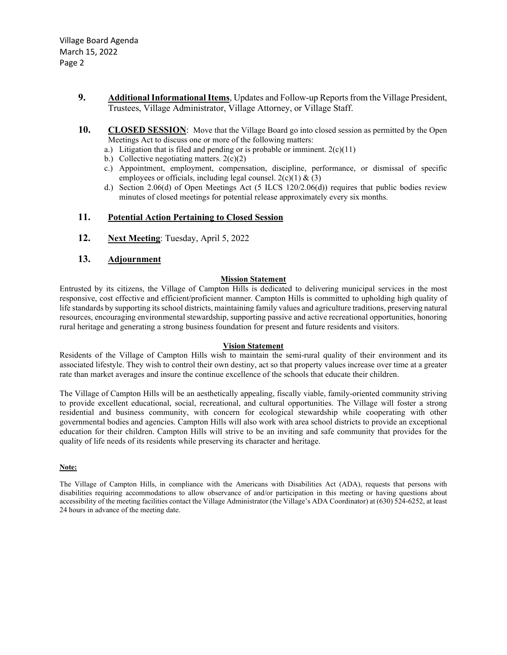- **9. Additional Informational Items**, Updates and Follow-up Reports from the Village President, Trustees, Village Administrator, Village Attorney, or Village Staff.
- **10. CLOSED SESSION:** Move that the Village Board go into closed session as permitted by the Open Meetings Act to discuss one or more of the following matters:
	- a.) Litigation that is filed and pending or is probable or imminent.  $2(c)(11)$
	- b.) Collective negotiating matters.  $2(c)(2)$
	- c.) Appointment, employment, compensation, discipline, performance, or dismissal of specific employees or officials, including legal counsel.  $2(c)(1) \& (3)$
	- d.) Section 2.06(d) of Open Meetings Act (5 ILCS 120/2.06(d)) requires that public bodies review minutes of closed meetings for potential release approximately every six months.

#### **11. Potential Action Pertaining to Closed Session**

**12. Next Meeting**: Tuesday, April 5, 2022

#### **13. Adjournment**

#### **Mission Statement**

Entrusted by its citizens, the Village of Campton Hills is dedicated to delivering municipal services in the most responsive, cost effective and efficient/proficient manner. Campton Hills is committed to upholding high quality of life standards by supporting its school districts, maintaining family values and agriculture traditions, preserving natural resources, encouraging environmental stewardship, supporting passive and active recreational opportunities, honoring rural heritage and generating a strong business foundation for present and future residents and visitors.

#### **Vision Statement**

Residents of the Village of Campton Hills wish to maintain the semi-rural quality of their environment and its associated lifestyle. They wish to control their own destiny, act so that property values increase over time at a greater rate than market averages and insure the continue excellence of the schools that educate their children.

The Village of Campton Hills will be an aesthetically appealing, fiscally viable, family-oriented community striving to provide excellent educational, social, recreational, and cultural opportunities. The Village will foster a strong residential and business community, with concern for ecological stewardship while cooperating with other governmental bodies and agencies. Campton Hills will also work with area school districts to provide an exceptional education for their children. Campton Hills will strive to be an inviting and safe community that provides for the quality of life needs of its residents while preserving its character and heritage.

#### **Note:**

The Village of Campton Hills, in compliance with the Americans with Disabilities Act (ADA), requests that persons with disabilities requiring accommodations to allow observance of and/or participation in this meeting or having questions about accessibility of the meeting facilities contact the Village Administrator (the Village's ADA Coordinator) at (630) 524-6252, at least 24 hours in advance of the meeting date.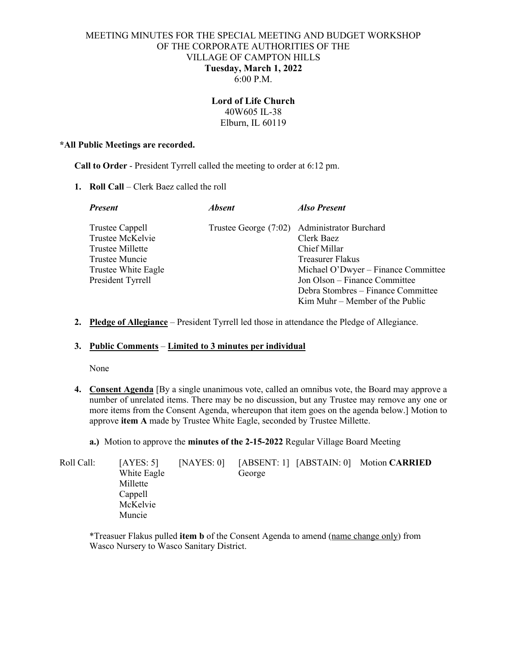### MEETING MINUTES FOR THE SPECIAL MEETING AND BUDGET WORKSHOP OF THE CORPORATE AUTHORITIES OF THE VILLAGE OF CAMPTON HILLS **Tuesday, March 1, 2022**  6:00 P.M.

### **Lord of Life Church**  40W605 IL-38 Elburn, IL 60119

#### **\*All Public Meetings are recorded.**

**Call to Order** - President Tyrrell called the meeting to order at 6:12 pm.

**1. Roll Call** – Clerk Baez called the roll

| <i><b>Absent</b></i> | <b>Also Present</b>                          |
|----------------------|----------------------------------------------|
|                      | Trustee George (7:02) Administrator Burchard |
|                      | Clerk Baez                                   |
|                      | Chief Millar                                 |
|                      | Treasurer Flakus                             |
|                      | Michael O'Dwyer - Finance Committee          |
|                      | Jon Olson – Finance Committee                |
|                      | Debra Stombres – Finance Committee           |
|                      | $Kim Muhr - Member of the Public$            |
|                      |                                              |

**2. Pledge of Allegiance** – President Tyrrell led those in attendance the Pledge of Allegiance.

#### **3. Public Comments** – **Limited to 3 minutes per individual**

None

- **4. Consent Agenda** [By a single unanimous vote, called an omnibus vote, the Board may approve a number of unrelated items. There may be no discussion, but any Trustee may remove any one or more items from the Consent Agenda, whereupon that item goes on the agenda below.] Motion to approve **item A** made by Trustee White Eagle, seconded by Trustee Millette.
	- **a.)** Motion to approve the **minutes of the 2-15-2022** Regular Village Board Meeting

| Roll Call: | [AYES: 5]<br>White Eagle<br>Millette<br>Cappell | [NAYES: 0] | George | [ABSENT: 1] [ABSTAIN: 0] Motion CARRIED |
|------------|-------------------------------------------------|------------|--------|-----------------------------------------|
|            | McKelvie<br>Muncie                              |            |        |                                         |

\*Treasuer Flakus pulled **item b** of the Consent Agenda to amend (name change only) from Wasco Nursery to Wasco Sanitary District.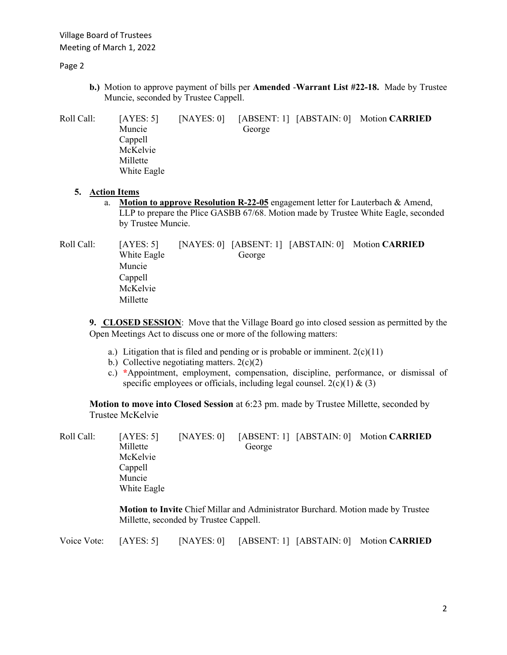Village Board of Trustees Meeting of March 1, 2022

Page 2

**b.)** Motion to approve payment of bills per **Amended** -**Warrant List #22-18.** Made by Trustee Muncie, seconded by Trustee Cappell.

Roll Call: [AYES: 5] [NAYES: 0] [ABSENT: 1] [ABSTAIN: 0] Motion **CARRIED** Muncie George Cappell McKelvie Millette White Eagle

### **5. Action Items**

a. **Motion to approve Resolution R-22-05** engagement letter for Lauterbach & Amend, LLP to prepare the Plice GASBB 67/68. Motion made by Trustee White Eagle, seconded by Trustee Muncie.

Roll Call: [AYES: 5] [NAYES: 0] [ABSENT: 1] [ABSTAIN: 0] Motion **CARRIED White Eagle** George Muncie Cappell McKelvie Millette

**9. CLOSED SESSION**: Move that the Village Board go into closed session as permitted by the Open Meetings Act to discuss one or more of the following matters:

- a.) Litigation that is filed and pending or is probable or imminent.  $2(c)(11)$
- b.) Collective negotiating matters.  $2(c)(2)$
- c.) **\***Appointment, employment, compensation, discipline, performance, or dismissal of specific employees or officials, including legal counsel.  $2(c)(1) \& (3)$

**Motion to move into Closed Session** at 6:23 pm. made by Trustee Millette, seconded by Trustee McKelvie

| Roll Call: | [AYES: 5]   | NAYES: 0 |        | [ABSENT: 1] [ABSTAIN: 0] Motion CARRIED                                         |
|------------|-------------|----------|--------|---------------------------------------------------------------------------------|
|            | Millette    |          | George |                                                                                 |
|            | McKelvie    |          |        |                                                                                 |
|            | Cappell     |          |        |                                                                                 |
|            | Muncie      |          |        |                                                                                 |
|            | White Eagle |          |        |                                                                                 |
|            |             |          |        | Motion to Invite Chief Millar and Administrator Burchard Motion made by Trustee |

**Motion to Invite** Chief Millar and Administrator Burchard. Motion made by Trustee Millette, seconded by Trustee Cappell.

|  |  |  |  |  | Voice Vote: [AYES: 5] [NAYES: 0] [ABSENT: 1] [ABSTAIN: 0] Motion CARRIED |
|--|--|--|--|--|--------------------------------------------------------------------------|
|--|--|--|--|--|--------------------------------------------------------------------------|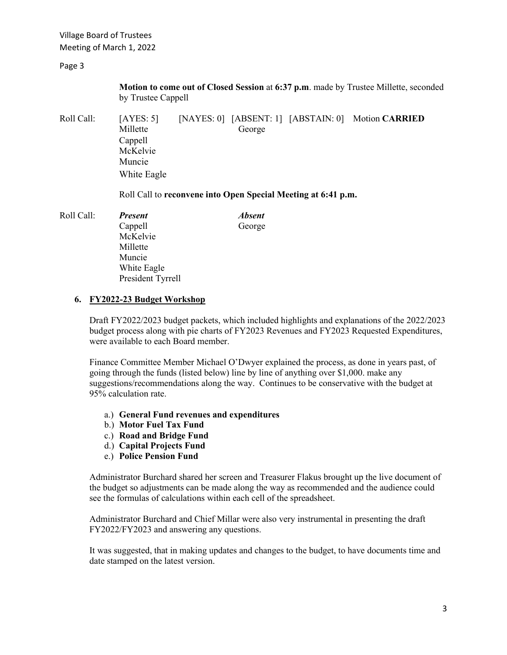Village Board of Trustees Meeting of March 1, 2022

Page 3

**Motion to come out of Closed Session** at **6:37 p.m**. made by Trustee Millette, seconded by Trustee Cappell

Roll Call: [AYES: 5] [NAYES: 0] [ABSENT: 1] [ABSTAIN: 0] Motion **CARRIED Millette** George Cappell McKelvie Muncie White Eagle

Roll Call to **reconvene into Open Special Meeting at 6:41 p.m.** 

| Roll Call: | <b>Present</b>    | <b>Absent</b> |
|------------|-------------------|---------------|
|            | Cappell           | George        |
|            | McKelvie          |               |
|            | Millette          |               |
|            | Muncie            |               |
|            | White Eagle       |               |
|            | President Tyrrell |               |
|            |                   |               |

#### **6. FY2022-23 Budget Workshop**

Draft FY2022/2023 budget packets, which included highlights and explanations of the 2022/2023 budget process along with pie charts of FY2023 Revenues and FY2023 Requested Expenditures, were available to each Board member.

Finance Committee Member Michael O'Dwyer explained the process, as done in years past, of going through the funds (listed below) line by line of anything over \$1,000. make any suggestions/recommendations along the way. Continues to be conservative with the budget at 95% calculation rate.

- a.) **General Fund revenues and expenditures**
- b.) **Motor Fuel Tax Fund**
- c.) **Road and Bridge Fund**
- d.) **Capital Projects Fund**
- e.) **Police Pension Fund**

Administrator Burchard shared her screen and Treasurer Flakus brought up the live document of the budget so adjustments can be made along the way as recommended and the audience could see the formulas of calculations within each cell of the spreadsheet.

Administrator Burchard and Chief Millar were also very instrumental in presenting the draft FY2022/FY2023 and answering any questions.

It was suggested, that in making updates and changes to the budget, to have documents time and date stamped on the latest version.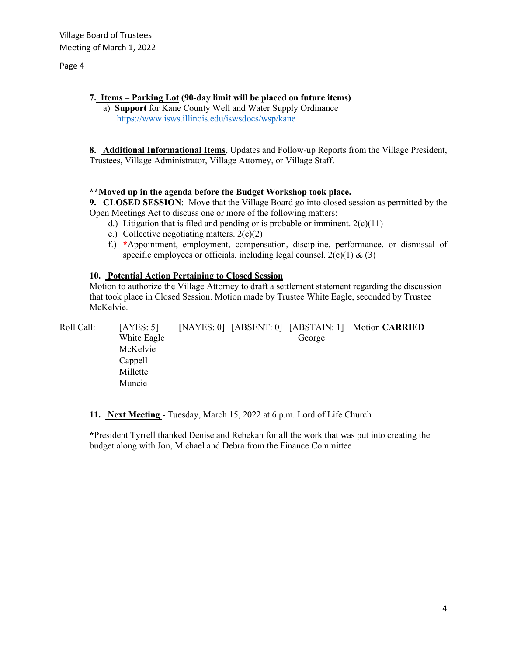#### Page 4

**7. Items – Parking Lot (90-day limit will be placed on future items)** a) **Support** for Kane County Well and Water Supply Ordinance <https://www.isws.illinois.edu/iswsdocs/wsp/kane>

**8. Additional Informational Items**, Updates and Follow-up Reports from the Village President, Trustees, Village Administrator, Village Attorney, or Village Staff.

## **\*\*Moved up in the agenda before the Budget Workshop took place.**

**9. CLOSED SESSION**: Move that the Village Board go into closed session as permitted by the Open Meetings Act to discuss one or more of the following matters:

- d.) Litigation that is filed and pending or is probable or imminent.  $2(c)(11)$
- e.) Collective negotiating matters.  $2(c)(2)$
- f.) **\***Appointment, employment, compensation, discipline, performance, or dismissal of specific employees or officials, including legal counsel.  $2(c)(1) \& (3)$

#### **10. Potential Action Pertaining to Closed Session**

Motion to authorize the Village Attorney to draft a settlement statement regarding the discussion that took place in Closed Session. Motion made by Trustee White Eagle, seconded by Trustee McKelvie.

Roll Call: [AYES: 5] [NAYES: 0] [ABSENT: 0] [ABSTAIN: 1] Motion **CARRIED** *White Eagle* George McKelvie Cappell Millette Muncie

**11. Next Meeting** - Tuesday, March 15, 2022 at 6 p.m. Lord of Life Church

**\***President Tyrrell thanked Denise and Rebekah for all the work that was put into creating the budget along with Jon, Michael and Debra from the Finance Committee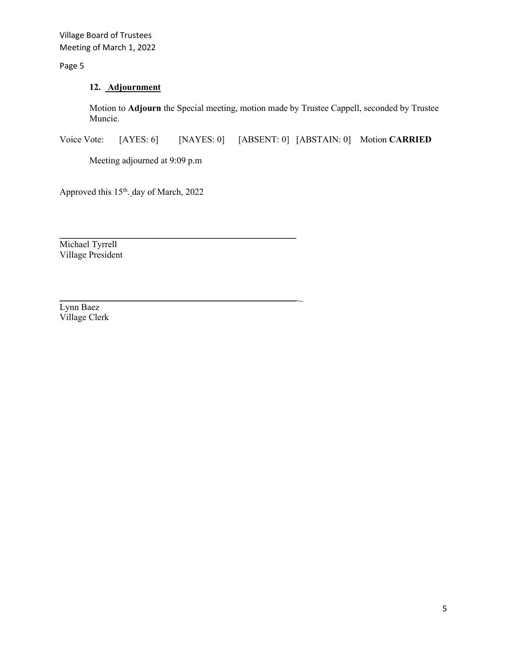Village Board of Trustees Meeting of March 1, 2022

Page 5

# **12. Adjournment**

Motion to **Adjourn** the Special meeting, motion made by Trustee Cappell, seconded by Trustee Muncie.

Voice Vote: [AYES: 6] [NAYES: 0] [ABSENT: 0] [ABSTAIN: 0] Motion **CARRIED**

Meeting adjourned at 9:09 p.m

\_\_\_\_\_\_\_\_\_\_\_\_\_\_\_\_\_\_\_\_\_\_\_\_\_\_\_\_\_\_\_\_\_\_\_\_\_\_\_\_\_\_\_\_\_\_\_\_\_\_\_\_

\_\_\_\_\_\_\_\_\_\_\_\_\_\_\_\_\_\_\_\_\_\_\_\_\_\_\_\_\_\_\_\_\_\_\_\_\_\_\_\_\_\_\_\_\_\_\_\_\_\_\_\_ \_

Approved this 15<sup>th</sup>. day of March, 2022

Michael Tyrrell Village President

Lynn Baez Village Clerk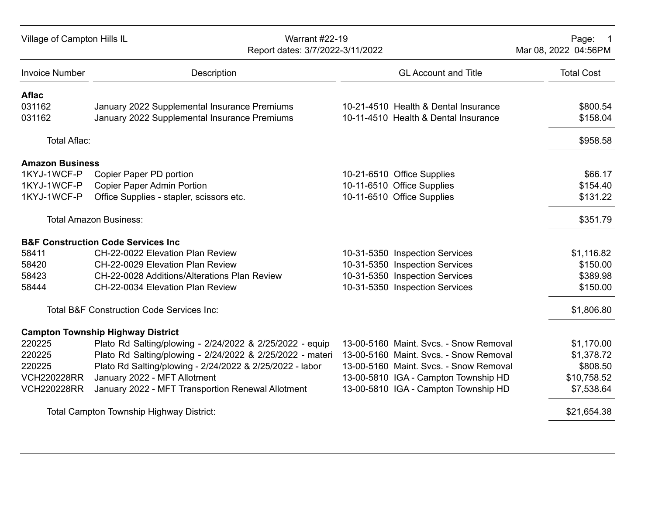| Village of Campton Hills IL | <b>Warrant #22-19</b><br>Report dates: 3/7/2022-3/11/2022 |                                        | Page: 1<br>Mar 08, 2022 04:56PM |
|-----------------------------|-----------------------------------------------------------|----------------------------------------|---------------------------------|
| <b>Invoice Number</b>       | <b>Description</b>                                        | <b>GL Account and Title</b>            | <b>Total Cost</b>               |
| <b>Aflac</b>                |                                                           |                                        |                                 |
| 031162                      | January 2022 Supplemental Insurance Premiums              | 10-21-4510 Health & Dental Insurance   | \$800.54                        |
| 031162                      | January 2022 Supplemental Insurance Premiums              | 10-11-4510 Health & Dental Insurance   | \$158.04                        |
| Total Aflac:                |                                                           |                                        | \$958.58                        |
| <b>Amazon Business</b>      |                                                           |                                        |                                 |
| 1KYJ-1WCF-P                 | Copier Paper PD portion                                   | 10-21-6510 Office Supplies             | \$66.17                         |
| 1KYJ-1WCF-P                 | <b>Copier Paper Admin Portion</b>                         | 10-11-6510 Office Supplies             | \$154.40                        |
| 1KYJ-1WCF-P                 | Office Supplies - stapler, scissors etc.                  | 10-11-6510 Office Supplies             | \$131.22                        |
|                             | <b>Total Amazon Business:</b>                             |                                        | \$351.79                        |
|                             | <b>B&amp;F Construction Code Services Inc</b>             |                                        |                                 |
| 58411                       | CH-22-0022 Elevation Plan Review                          | 10-31-5350 Inspection Services         | \$1,116.82                      |
| 58420                       | CH-22-0029 Elevation Plan Review                          | 10-31-5350 Inspection Services         | \$150.00                        |
| 58423                       | CH-22-0028 Additions/Alterations Plan Review              | 10-31-5350 Inspection Services         | \$389.98                        |
| 58444                       | CH-22-0034 Elevation Plan Review                          | 10-31-5350 Inspection Services         | \$150.00                        |
|                             | <b>Total B&amp;F Construction Code Services Inc:</b>      |                                        | \$1,806.80                      |
|                             | <b>Campton Township Highway District</b>                  |                                        |                                 |
| 220225                      | Plato Rd Salting/plowing - 2/24/2022 & 2/25/2022 - equip  | 13-00-5160 Maint, Sycs. - Snow Removal | \$1,170.00                      |
| 220225                      | Plato Rd Salting/plowing - 2/24/2022 & 2/25/2022 - materi | 13-00-5160 Maint. Svcs. - Snow Removal | \$1,378.72                      |
| 220225                      | Plato Rd Salting/plowing - 2/24/2022 & 2/25/2022 - labor  | 13-00-5160 Maint. Svcs. - Snow Removal | \$808.50                        |
| <b>VCH220228RR</b>          | January 2022 - MFT Allotment                              | 13-00-5810 IGA - Campton Township HD   | \$10,758.52                     |
| <b>VCH220228RR</b>          | January 2022 - MFT Transportion Renewal Allotment         | 13-00-5810 IGA - Campton Township HD   | \$7,538.64                      |
|                             | <b>Total Campton Township Highway District:</b>           |                                        | \$21,654.38                     |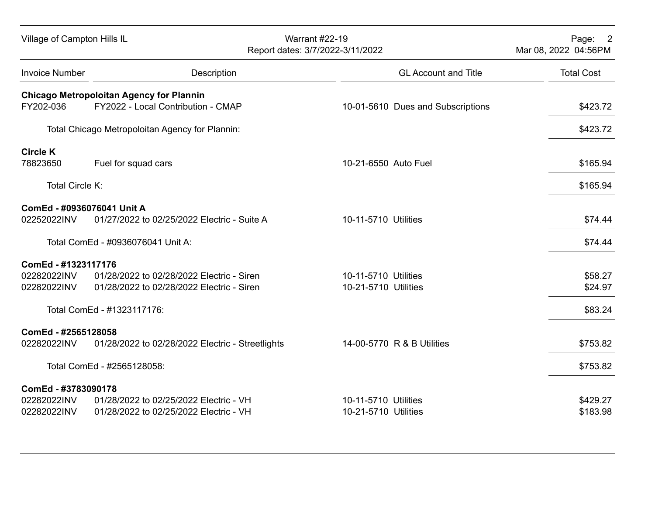| Village of Campton Hills IL |                                                  | <b>Warrant #22-19</b><br>Report dates: 3/7/2022-3/11/2022 |                                   | Page: 2<br>Mar 08, 2022 04:56PM |
|-----------------------------|--------------------------------------------------|-----------------------------------------------------------|-----------------------------------|---------------------------------|
| <b>Invoice Number</b>       | Description                                      |                                                           | <b>GL Account and Title</b>       | <b>Total Cost</b>               |
|                             | <b>Chicago Metropoloitan Agency for Plannin</b>  |                                                           |                                   |                                 |
| FY202-036                   | FY2022 - Local Contribution - CMAP               |                                                           | 10-01-5610 Dues and Subscriptions | \$423.72                        |
|                             | Total Chicago Metropoloitan Agency for Plannin:  |                                                           |                                   | \$423.72                        |
| <b>Circle K</b>             |                                                  |                                                           |                                   |                                 |
| 78823650                    | Fuel for squad cars                              | 10-21-6550 Auto Fuel                                      |                                   | \$165.94                        |
| Total Circle K:             |                                                  |                                                           |                                   | \$165.94                        |
| ComEd - #0936076041 Unit A  |                                                  |                                                           |                                   |                                 |
| 02252022INV                 | 01/27/2022 to 02/25/2022 Electric - Suite A      | 10-11-5710 Utilities                                      |                                   | \$74.44                         |
|                             | Total ComEd - #0936076041 Unit A:                |                                                           |                                   | \$74.44                         |
| ComEd - #1323117176         |                                                  |                                                           |                                   |                                 |
| 02282022INV                 | 01/28/2022 to 02/28/2022 Electric - Siren        | 10-11-5710 Utilities                                      |                                   | \$58.27                         |
| 02282022INV                 | 01/28/2022 to 02/28/2022 Electric - Siren        | 10-21-5710 Utilities                                      |                                   | \$24.97                         |
|                             | Total ComEd - #1323117176:                       |                                                           |                                   | \$83.24                         |
| ComEd - #2565128058         |                                                  |                                                           |                                   |                                 |
| 02282022INV                 | 01/28/2022 to 02/28/2022 Electric - Streetlights |                                                           | 14-00-5770 R & B Utilities        | \$753.82                        |
|                             | Total ComEd - #2565128058:                       |                                                           |                                   | \$753.82                        |
| ComEd - #3783090178         |                                                  |                                                           |                                   |                                 |
| 02282022INV                 | 01/28/2022 to 02/25/2022 Electric - VH           | 10-11-5710 Utilities                                      |                                   | \$429.27                        |
| 02282022INV                 | 01/28/2022 to 02/25/2022 Electric - VH           | 10-21-5710 Utilities                                      |                                   | \$183.98                        |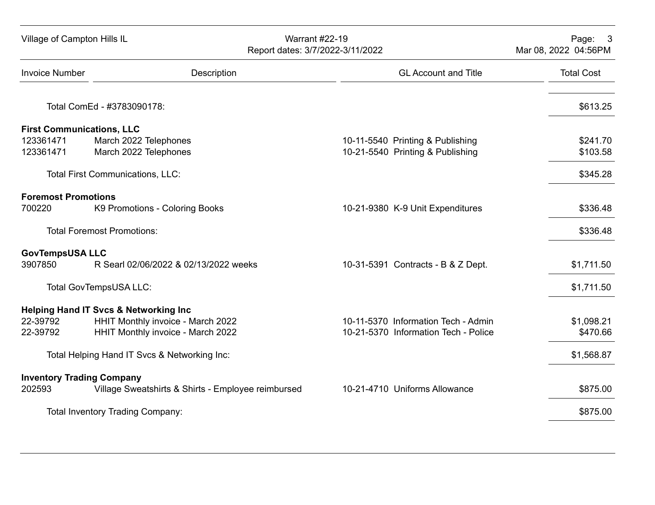| Village of Campton Hills IL |                                                    | <b>Warrant #22-19</b><br>Report dates: 3/7/2022-3/11/2022 | Page: 3<br>Mar 08, 2022 04:56PM |
|-----------------------------|----------------------------------------------------|-----------------------------------------------------------|---------------------------------|
| <b>Invoice Number</b>       | Description                                        | <b>GL Account and Title</b>                               | <b>Total Cost</b>               |
|                             | Total ComEd - #3783090178:                         |                                                           | \$613.25                        |
|                             | <b>First Communications, LLC</b>                   |                                                           |                                 |
| 123361471                   | March 2022 Telephones                              | 10-11-5540 Printing & Publishing                          | \$241.70                        |
| 123361471                   | March 2022 Telephones                              | 10-21-5540 Printing & Publishing                          | \$103.58                        |
|                             | Total First Communications, LLC:                   |                                                           | \$345.28                        |
| <b>Foremost Promotions</b>  |                                                    |                                                           |                                 |
| 700220                      | K9 Promotions - Coloring Books                     | 10-21-9380 K-9 Unit Expenditures                          | \$336.48                        |
|                             | <b>Total Foremost Promotions:</b>                  |                                                           | \$336.48                        |
| <b>GovTempsUSA LLC</b>      |                                                    |                                                           |                                 |
| 3907850                     | R Searl 02/06/2022 & 02/13/2022 weeks              | 10-31-5391 Contracts - B & Z Dept.                        | \$1,711.50                      |
|                             | Total GovTempsUSA LLC:                             |                                                           | \$1,711.50                      |
|                             | <b>Helping Hand IT Svcs &amp; Networking Inc</b>   |                                                           |                                 |
| 22-39792                    | HHIT Monthly invoice - March 2022                  | 10-11-5370 Information Tech - Admin                       | \$1,098.21                      |
| 22-39792                    | HHIT Monthly invoice - March 2022                  | 10-21-5370 Information Tech - Police                      | \$470.66                        |
|                             | Total Helping Hand IT Svcs & Networking Inc:       |                                                           | \$1,568.87                      |
|                             | <b>Inventory Trading Company</b>                   |                                                           |                                 |
| 202593                      | Village Sweatshirts & Shirts - Employee reimbursed | 10-21-4710 Uniforms Allowance                             | \$875.00                        |
|                             | <b>Total Inventory Trading Company:</b>            |                                                           | \$875.00                        |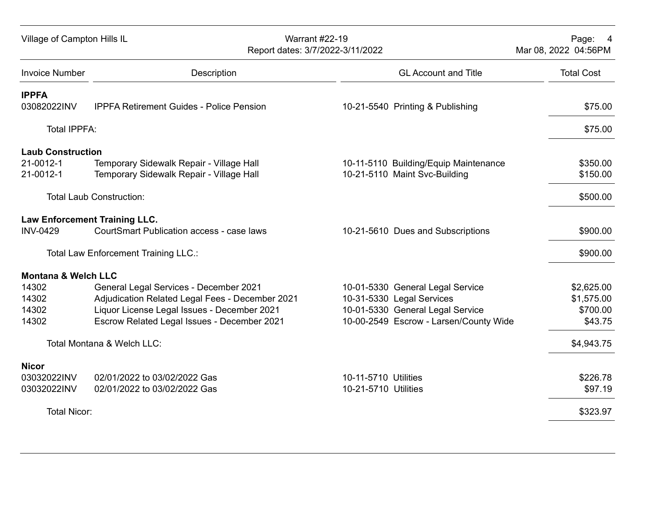| Village of Campton Hills IL                        |                                                                                                                                                                                         | <b>Warrant #22-19</b><br>Report dates: 3/7/2022-3/11/2022 |                                                                                                                                             | Page: 4<br>Mar 08, 2022 04:56PM                 |
|----------------------------------------------------|-----------------------------------------------------------------------------------------------------------------------------------------------------------------------------------------|-----------------------------------------------------------|---------------------------------------------------------------------------------------------------------------------------------------------|-------------------------------------------------|
| <b>Invoice Number</b>                              | Description                                                                                                                                                                             |                                                           | <b>GL Account and Title</b>                                                                                                                 | <b>Total Cost</b>                               |
| <b>IPPFA</b><br>03082022INV                        | <b>IPPFA Retirement Guides - Police Pension</b>                                                                                                                                         |                                                           | 10-21-5540 Printing & Publishing                                                                                                            | \$75.00                                         |
| <b>Total IPPFA:</b>                                |                                                                                                                                                                                         |                                                           |                                                                                                                                             | \$75.00                                         |
| <b>Laub Construction</b><br>21-0012-1<br>21-0012-1 | Temporary Sidewalk Repair - Village Hall<br>Temporary Sidewalk Repair - Village Hall                                                                                                    |                                                           | 10-11-5110 Building/Equip Maintenance<br>10-21-5110 Maint Svc-Building                                                                      | \$350.00<br>\$150.00                            |
|                                                    | <b>Total Laub Construction:</b>                                                                                                                                                         |                                                           |                                                                                                                                             | \$500.00                                        |
| <b>INV-0429</b>                                    | <b>Law Enforcement Training LLC.</b><br><b>CourtSmart Publication access - case laws</b>                                                                                                |                                                           | 10-21-5610 Dues and Subscriptions                                                                                                           | \$900.00                                        |
|                                                    | <b>Total Law Enforcement Training LLC.:</b>                                                                                                                                             |                                                           |                                                                                                                                             | \$900.00                                        |
| <b>Montana &amp; Welch LLC</b>                     |                                                                                                                                                                                         |                                                           |                                                                                                                                             |                                                 |
| 14302<br>14302<br>14302<br>14302                   | General Legal Services - December 2021<br>Adjudication Related Legal Fees - December 2021<br>Liquor License Legal Issues - December 2021<br>Escrow Related Legal Issues - December 2021 |                                                           | 10-01-5330 General Legal Service<br>10-31-5330 Legal Services<br>10-01-5330 General Legal Service<br>10-00-2549 Escrow - Larsen/County Wide | \$2,625.00<br>\$1,575.00<br>\$700.00<br>\$43.75 |
|                                                    | Total Montana & Welch LLC:                                                                                                                                                              |                                                           |                                                                                                                                             | \$4,943.75                                      |
| <b>Nicor</b><br>03032022INV<br>03032022INV         | 02/01/2022 to 03/02/2022 Gas<br>02/01/2022 to 03/02/2022 Gas                                                                                                                            | 10-11-5710 Utilities<br>10-21-5710 Utilities              |                                                                                                                                             | \$226.78<br>\$97.19                             |
| <b>Total Nicor:</b>                                |                                                                                                                                                                                         |                                                           |                                                                                                                                             | \$323.97                                        |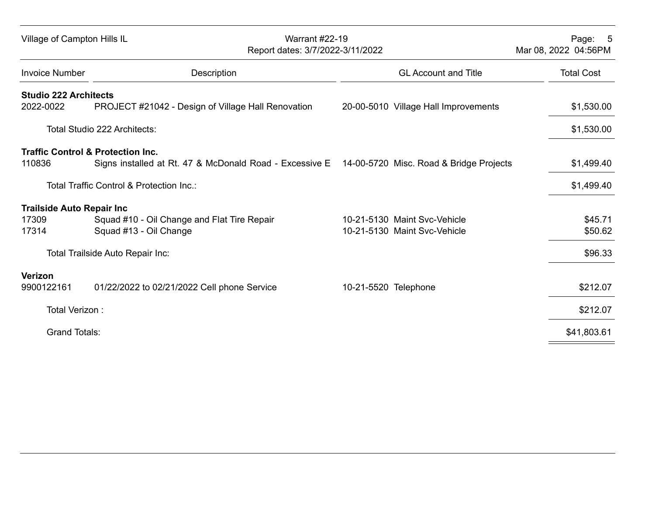| Village of Campton Hills IL<br><b>Warrant #22-19</b><br>Report dates: 3/7/2022-3/11/2022 |                                                                                                                                                 |                                                              | Page: 5<br>Mar 08, 2022 04:56PM |
|------------------------------------------------------------------------------------------|-------------------------------------------------------------------------------------------------------------------------------------------------|--------------------------------------------------------------|---------------------------------|
| <b>Invoice Number</b>                                                                    | Description                                                                                                                                     | <b>GL Account and Title</b>                                  | <b>Total Cost</b>               |
| <b>Studio 222 Architects</b><br>2022-0022                                                | PROJECT #21042 - Design of Village Hall Renovation                                                                                              | 20-00-5010 Village Hall Improvements                         | \$1,530.00                      |
|                                                                                          | Total Studio 222 Architects:                                                                                                                    |                                                              | \$1,530.00                      |
| 110836                                                                                   | <b>Traffic Control &amp; Protection Inc.</b><br>Signs installed at Rt. 47 & McDonald Road - Excessive E 14-00-5720 Misc. Road & Bridge Projects |                                                              | \$1,499.40                      |
|                                                                                          | Total Traffic Control & Protection Inc.:                                                                                                        |                                                              | \$1,499.40                      |
| <b>Trailside Auto Repair Inc</b><br>17309<br>17314                                       | Squad #10 - Oil Change and Flat Tire Repair<br>Squad #13 - Oil Change                                                                           | 10-21-5130 Maint Svc-Vehicle<br>10-21-5130 Maint Svc-Vehicle | \$45.71<br>\$50.62              |
|                                                                                          | Total Trailside Auto Repair Inc:                                                                                                                |                                                              | \$96.33                         |
| Verizon<br>9900122161                                                                    | 01/22/2022 to 02/21/2022 Cell phone Service                                                                                                     | 10-21-5520 Telephone                                         | \$212.07                        |
| Total Verizon:                                                                           |                                                                                                                                                 |                                                              | \$212.07                        |
| <b>Grand Totals:</b>                                                                     |                                                                                                                                                 |                                                              | \$41,803.61                     |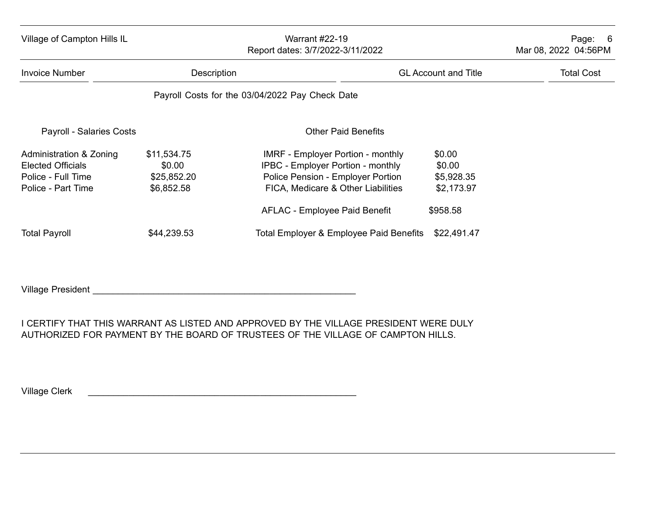| Village of Campton Hills IL                                                                     | <b>Warrant #22-19</b><br>Report dates: 3/7/2022-3/11/2022 |                                                                                                                                                                                                         | Page:<br>- 6<br>Mar 08, 2022 04:56PM                     |                   |
|-------------------------------------------------------------------------------------------------|-----------------------------------------------------------|---------------------------------------------------------------------------------------------------------------------------------------------------------------------------------------------------------|----------------------------------------------------------|-------------------|
| <b>Invoice Number</b>                                                                           |                                                           | Description<br><b>GL Account and Title</b>                                                                                                                                                              |                                                          | <b>Total Cost</b> |
|                                                                                                 |                                                           | Payroll Costs for the 03/04/2022 Pay Check Date                                                                                                                                                         |                                                          |                   |
| <b>Payroll - Salaries Costs</b>                                                                 |                                                           | <b>Other Paid Benefits</b>                                                                                                                                                                              |                                                          |                   |
| Administration & Zoning<br><b>Elected Officials</b><br>Police - Full Time<br>Police - Part Time | \$11,534.75<br>\$0.00<br>\$25,852.20<br>\$6,852.58        | <b>IMRF - Employer Portion - monthly</b><br><b>IPBC - Employer Portion - monthly</b><br>Police Pension - Employer Portion<br>FICA, Medicare & Other Liabilities<br><b>AFLAC - Employee Paid Benefit</b> | \$0.00<br>\$0.00<br>\$5,928.35<br>\$2,173.97<br>\$958.58 |                   |
| <b>Total Payroll</b>                                                                            | \$44,239.53                                               | Total Employer & Employee Paid Benefits                                                                                                                                                                 | \$22,491.47                                              |                   |

Village President \_\_\_\_\_\_\_\_\_\_\_\_\_\_\_\_\_\_\_\_\_\_\_\_\_\_\_\_\_\_\_\_\_\_\_\_\_\_\_\_\_\_\_\_\_\_\_\_\_\_\_\_

I CERTIFY THAT THIS WARRANT AS LISTED AND APPROVED BY THE VILLAGE PRESIDENT WERE DULY AUTHORIZED FOR PAYMENT BY THE BOARD OF TRUSTEES OF THE VILLAGE OF CAMPTON HILLS.

Village Clerk \_\_\_\_\_\_\_\_\_\_\_\_\_\_\_\_\_\_\_\_\_\_\_\_\_\_\_\_\_\_\_\_\_\_\_\_\_\_\_\_\_\_\_\_\_\_\_\_\_\_\_\_\_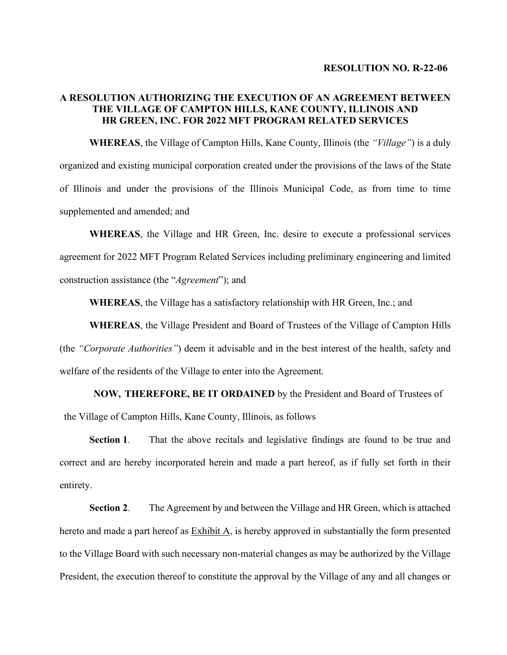# **A RESOLUTION AUTHORIZING THE EXECUTION OF AN AGREEMENT BETWEEN THE VILLAGE OF CAMPTON HILLS, KANE COUNTY, ILLINOIS AND HR GREEN, INC. FOR 2022 MFT PROGRAM RELATED SERVICES**

**WHEREAS**, the Village of Campton Hills, Kane County, Illinois (the *"Village"*) is a duly organized and existing municipal corporation created under the provisions of the laws of the State of Illinois and under the provisions of the Illinois Municipal Code, as from time to time supplemented and amended; and

**WHEREAS**, the Village and HR Green, Inc. desire to execute a professional services agreement for 2022 MFT Program Related Services including preliminary engineering and limited construction assistance (the "*Agreement*"); and

**WHEREAS**, the Village has a satisfactory relationship with HR Green, Inc.; and

**WHEREAS**, the Village President and Board of Trustees of the Village of Campton Hills (the *"Corporate Authorities"*) deem it advisable and in the best interest of the health, safety and welfare of the residents of the Village to enter into the Agreement.

**NOW, THEREFORE, BE IT ORDAINED** by the President and Board of Trustees of

the Village of Campton Hills, Kane County, Illinois, as follows

**Section 1**. That the above recitals and legislative findings are found to be true and correct and are hereby incorporated herein and made a part hereof, as if fully set forth in their entirety.

**Section 2**. The Agreement by and between the Village and HR Green, which is attached hereto and made a part hereof as Exhibit A, is hereby approved in substantially the form presented to the Village Board with such necessary non-material changes as may be authorized by the Village President, the execution thereof to constitute the approval by the Village of any and all changes or